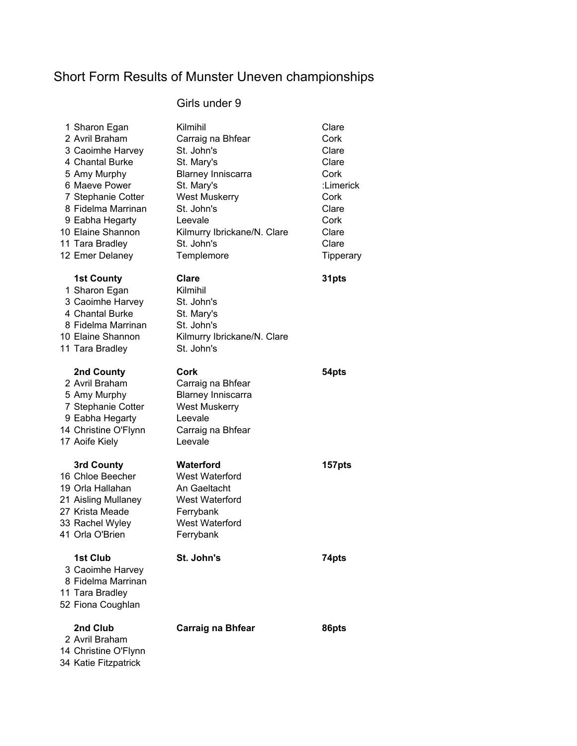# Short Form Results of Munster Uneven championships

# Girls under 9

| 1 Sharon Egan<br>2 Avril Braham<br>3 Caoimhe Harvey<br>4 Chantal Burke<br>5 Amy Murphy<br>6 Maeve Power<br>7 Stephanie Cotter<br>8 Fidelma Marrinan<br>9 Eabha Hegarty | Kilmihil<br>Carraig na Bhfear<br>St. John's<br>St. Mary's<br><b>Blarney Inniscarra</b><br>St. Mary's<br><b>West Muskerry</b><br>St. John's<br>Leevale | Clare<br>Cork<br>Clare<br>Clare<br>Cork<br>:Limerick<br>Cork<br>Clare<br>Cork |
|------------------------------------------------------------------------------------------------------------------------------------------------------------------------|-------------------------------------------------------------------------------------------------------------------------------------------------------|-------------------------------------------------------------------------------|
| 10 Elaine Shannon                                                                                                                                                      | Kilmurry Ibrickane/N. Clare                                                                                                                           | Clare                                                                         |
| 11 Tara Bradley                                                                                                                                                        | St. John's                                                                                                                                            | Clare                                                                         |
| 12 Emer Delaney                                                                                                                                                        | Templemore                                                                                                                                            | Tipperary                                                                     |
| <b>1st County</b><br>1 Sharon Egan<br>3 Caoimhe Harvey<br>4 Chantal Burke<br>8 Fidelma Marrinan<br>10 Elaine Shannon<br>11 Tara Bradley                                | <b>Clare</b><br>Kilmihil<br>St. John's<br>St. Mary's<br>St. John's<br>Kilmurry Ibrickane/N. Clare<br>St. John's                                       | 31pts                                                                         |
| 2nd County<br>2 Avril Braham<br>5 Amy Murphy<br>7 Stephanie Cotter<br>9 Eabha Hegarty<br>14 Christine O'Flynn<br>17 Aoife Kiely                                        | Cork<br>Carraig na Bhfear<br><b>Blarney Inniscarra</b><br><b>West Muskerry</b><br>Leevale<br>Carraig na Bhfear<br>Leevale                             | 54pts                                                                         |
| 3rd County<br>16 Chloe Beecher<br>19 Orla Hallahan<br>21 Aisling Mullaney<br>27 Krista Meade<br>33 Rachel Wyley<br>41 Orla O'Brien                                     | Waterford<br><b>West Waterford</b><br>An Gaeltacht<br>West Waterford<br>Ferrybank<br><b>West Waterford</b><br>Ferrybank                               | 157pts                                                                        |
| <b>1st Club</b><br>3 Caoimhe Harvey<br>8 Fidelma Marrinan<br>11 Tara Bradley<br>52 Fiona Coughlan                                                                      | St. John's                                                                                                                                            | 74pts                                                                         |
| 2nd Club<br>2 Avril Braham<br>14 Christine O'Flynn                                                                                                                     | <b>Carraig na Bhfear</b>                                                                                                                              | 86pts                                                                         |

34 Katie Fitzpatrick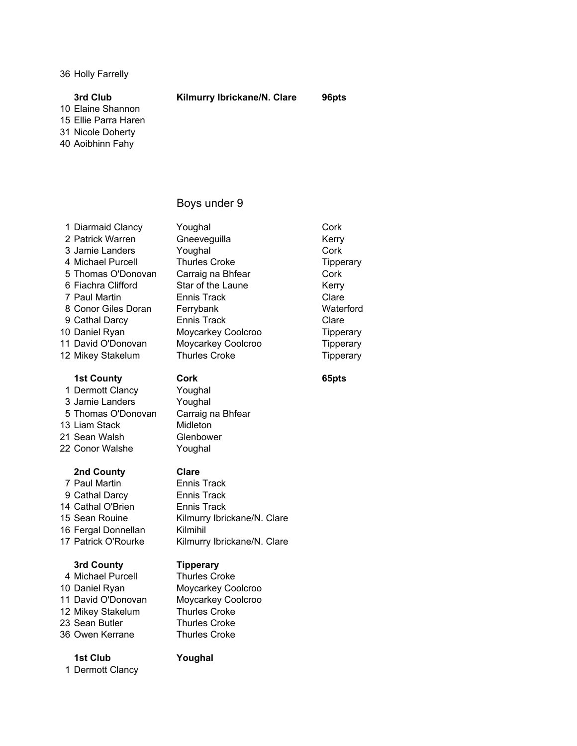36 Holly Farrelly

### 3rd Club Kilmurry Ibrickane/N. Clare 96pts

10 Elaine Shannon

15 Ellie Parra Haren

31 Nicole Doherty

40 Aoibhinn Fahy

### Boys under 9

1 Diarmaid Clancy Youghal Cork 2 Patrick Warren Gneeveguilla Kerry 3 Jamie Landers **Youghal** Cork 4 Michael Purcell Thurles Croke Tipperary 5 Thomas O'Donovan Carraig na Bhfear Cork 6 Fiachra Clifford Star of the Laune Kerry 7 Paul Martin Ennis Track Clare 8 Conor Giles Doran Ferrybank The Waterford 9 Cathal Darcy **Ennis Track** Clare 10 Daniel Ryan Moycarkey Coolcroo Tipperary 11 David O'Donovan Moycarkey Coolcroo Tipperary 12 Mikey Stakelum Thurles Croke Tipperary

### 1st County **Cork** 65pts

1 Dermott Clancy Youghal 3 Jamie Landers Youghal 5 Thomas O'Donovan Carraig na Bhfear 13 Liam Stack Midleton 21 Sean Walsh Glenbower 22 Conor Walshe Youghal

### 2nd County Clare

7 Paul Martin Ennis Track 9 Cathal Darcy Ennis Track 14 Cathal O'Brien **Ennis Track** 16 Fergal Donnellan Kilmihil

### 3rd County Tipperary

4 Michael Purcell Thurles Croke 10 Daniel Ryan Moycarkey Coolcroo 11 David O'Donovan Moycarkey Coolcroo 12 Mikey Stakelum Thurles Croke 23 Sean Butler Thurles Croke 36 Owen Kerrane Thurles Croke

15 Sean Rouine Kilmurry Ibrickane/N. Clare 17 Patrick O'Rourke Kilmurry Ibrickane/N. Clare

### 1st Club Youghal

1 Dermott Clancy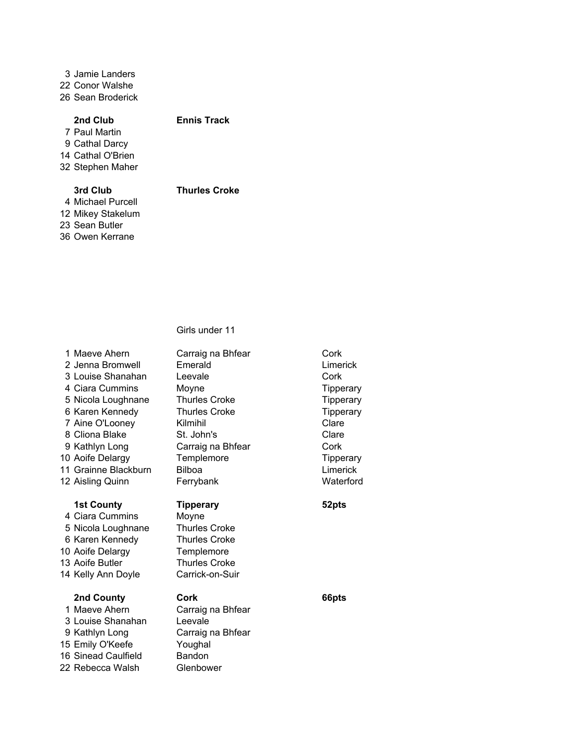3 Jamie Landers

22 Conor Walshe

26 Sean Broderick

# 2nd Club Ennis Track

7 Paul Martin 9 Cathal Darcy 14 Cathal O'Brien 32 Stephen Maher

# 3rd Club Thurles Croke

4 Michael Purcell 12 Mikey Stakelum 23 Sean Butler 36 Owen Kerrane

| 1 Maeve Ahern<br>2 Jenna Bromwell<br>3 Louise Shanahan<br>4 Ciara Cummins<br>5 Nicola Loughnane<br>6 Karen Kennedy<br>7 Aine O'Looney<br>8 Cliona Blake<br>9 Kathlyn Long<br>10 Aoife Delargy<br>11 Grainne Blackburn<br>12 Aisling Quinn | Carraig na Bhfear<br>Emerald<br>Leevale<br>Moyne<br><b>Thurles Croke</b><br><b>Thurles Croke</b><br>Kilmihil<br>St. John's<br>Carraig na Bhfear<br>Templemore<br><b>Bilboa</b><br>Ferrybank | Cork<br>Limerick<br>Cork<br><b>Tipperary</b><br><b>Tipperary</b><br>Tipperary<br>Clare<br>Clare<br>Cork<br>Tipperary<br>Limerick<br>Waterford |
|-------------------------------------------------------------------------------------------------------------------------------------------------------------------------------------------------------------------------------------------|---------------------------------------------------------------------------------------------------------------------------------------------------------------------------------------------|-----------------------------------------------------------------------------------------------------------------------------------------------|
| <b>1st County</b><br>4 Ciara Cummins<br>5 Nicola Loughnane<br>6 Karen Kennedy<br>10 Aoife Delargy<br>13 Aoife Butler<br>14 Kelly Ann Doyle                                                                                                | Tipperary<br>Moyne<br><b>Thurles Croke</b><br><b>Thurles Croke</b><br>Templemore<br><b>Thurles Croke</b><br>Carrick-on-Suir                                                                 | 52pts                                                                                                                                         |
| 2nd County<br>1 Maeve Ahern<br>3 Louise Shanahan<br>9 Kathlyn Long<br>15 Emily O'Keefe<br>16 Sinead Caulfield<br>22 Rebecca Walsh                                                                                                         | Cork<br>Carraig na Bhfear<br>Leevale<br>Carraig na Bhfear<br>Youghal<br><b>Bandon</b><br>Glenbower                                                                                          | 66pts                                                                                                                                         |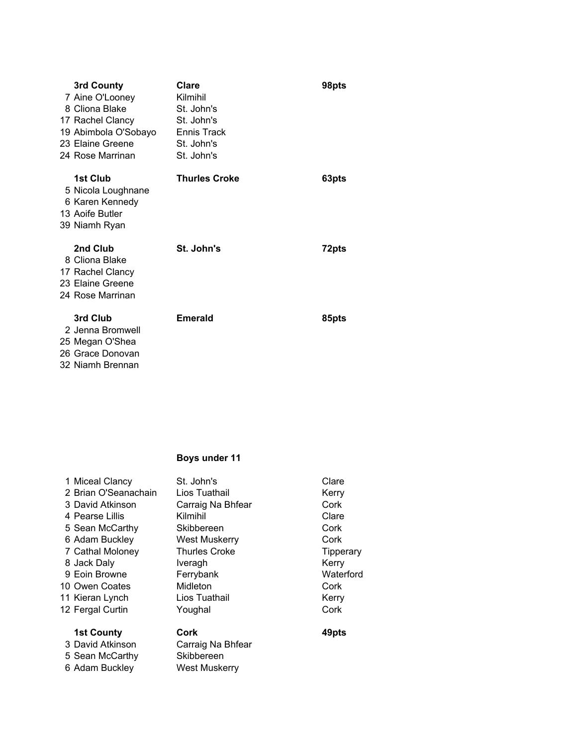| 3rd County<br>7 Aine O'Looney<br>8 Cliona Blake<br>17 Rachel Clancy<br>19 Abimbola O'Sobayo<br>23 Elaine Greene<br>24 Rose Marrinan | Clare<br>Kilmihil<br>St. John's<br>St. John's<br><b>Ennis Track</b><br>St. John's<br>St. John's | 98pts |
|-------------------------------------------------------------------------------------------------------------------------------------|-------------------------------------------------------------------------------------------------|-------|
| 1st Club<br>5 Nicola Loughnane<br>6 Karen Kennedy<br>13 Aoife Butler<br>39 Niamh Ryan                                               | <b>Thurles Croke</b>                                                                            | 63pts |
| 2nd Club<br>8 Cliona Blake<br>17 Rachel Clancy<br>23 Elaine Greene<br>24 Rose Marrinan                                              | St. John's                                                                                      | 72pts |
| 3rd Club<br>2 Jenna Bromwell<br>25 Megan O'Shea<br>26 Grace Donovan<br>32 Niamh Brennan                                             | <b>Emerald</b>                                                                                  | 85pts |

| 1 Miceal Clancy      | St. John's           | Clare            |
|----------------------|----------------------|------------------|
| 2 Brian O'Seanachain | Lios Tuathail        | Kerry            |
| 3 David Atkinson     | Carraig Na Bhfear    | Cork             |
| 4 Pearse Lillis      | Kilmihil             | Clare            |
| 5 Sean McCarthy      | Skibbereen           | Cork             |
| 6 Adam Buckley       | <b>West Muskerry</b> | Cork             |
| 7 Cathal Moloney     | <b>Thurles Croke</b> | <b>Tipperary</b> |
| 8 Jack Daly          | Iveragh              | Kerry            |
| 9 Eoin Browne        | Ferrybank            | Waterford        |
| 10 Owen Coates       | Midleton             | Cork             |
| 11 Kieran Lynch      | Lios Tuathail        | Kerry            |
| 12 Fergal Curtin     | Youghal              | Cork             |
| <b>1st County</b>    | Cork                 | 49pts            |
| 3 David Atkinson     | Carraig Na Bhfear    |                  |
| 5 Sean McCarthy      | Skibbereen           |                  |
| 6 Adam Buckley       | <b>West Muskerry</b> |                  |
|                      |                      |                  |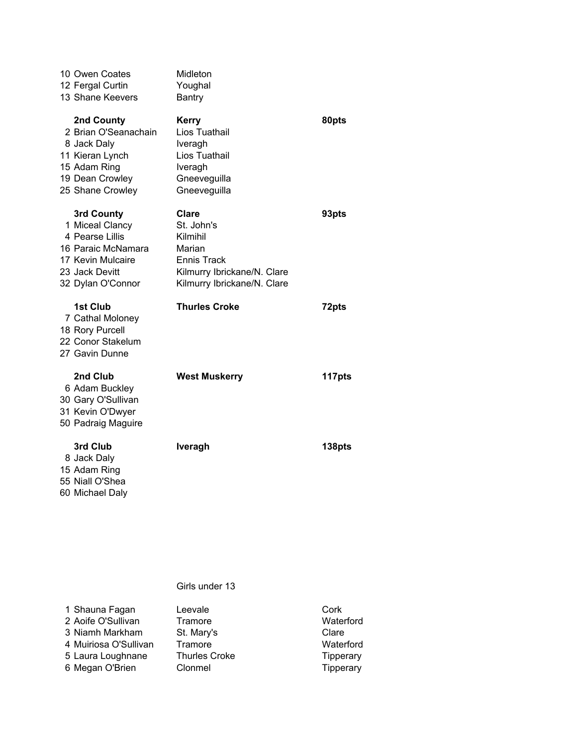| 10 Owen Coates<br>12 Fergal Curtin<br>13 Shane Keevers                                                                             | Midleton<br>Youghal<br><b>Bantry</b>                                                                                                 |        |
|------------------------------------------------------------------------------------------------------------------------------------|--------------------------------------------------------------------------------------------------------------------------------------|--------|
| 2nd County<br>2 Brian O'Seanachain<br>8 Jack Daly<br>11 Kieran Lynch<br>15 Adam Ring<br>19 Dean Crowley<br>25 Shane Crowley        | <b>Kerry</b><br>Lios Tuathail<br>Iveragh<br>Lios Tuathail<br>Iveragh<br>Gneeveguilla<br>Gneeveguilla                                 | 80pts  |
| 3rd County<br>1 Miceal Clancy<br>4 Pearse Lillis<br>16 Paraic McNamara<br>17 Kevin Mulcaire<br>23 Jack Devitt<br>32 Dylan O'Connor | <b>Clare</b><br>St. John's<br>Kilmihil<br>Marian<br><b>Ennis Track</b><br>Kilmurry Ibrickane/N. Clare<br>Kilmurry Ibrickane/N. Clare | 93pts  |
| 1st Club<br>7 Cathal Moloney<br>18 Rory Purcell<br>22 Conor Stakelum<br>27 Gavin Dunne                                             | <b>Thurles Croke</b>                                                                                                                 | 72pts  |
| 2nd Club<br>6 Adam Buckley<br>30 Gary O'Sullivan<br>31 Kevin O'Dwyer<br>50 Padraig Maguire                                         | <b>West Muskerry</b>                                                                                                                 | 117pts |
| 3rd Club<br>8 Jack Daly<br>15 Adam Ring<br>55 Niall O'Shea<br>60 Michael Daly                                                      | <b>Iveragh</b>                                                                                                                       | 138pts |

| 1 Shauna Fagan        | Leevale              | Cork      |
|-----------------------|----------------------|-----------|
| 2 Aoife O'Sullivan    | Tramore              | Waterford |
| 3 Niamh Markham       | St. Mary's           | Clare     |
| 4 Muiriosa O'Sullivan | Tramore              | Waterford |
| 5 Laura Loughnane     | <b>Thurles Croke</b> | Tipperary |
| 6 Megan O'Brien       | Clonmel              | Tipperary |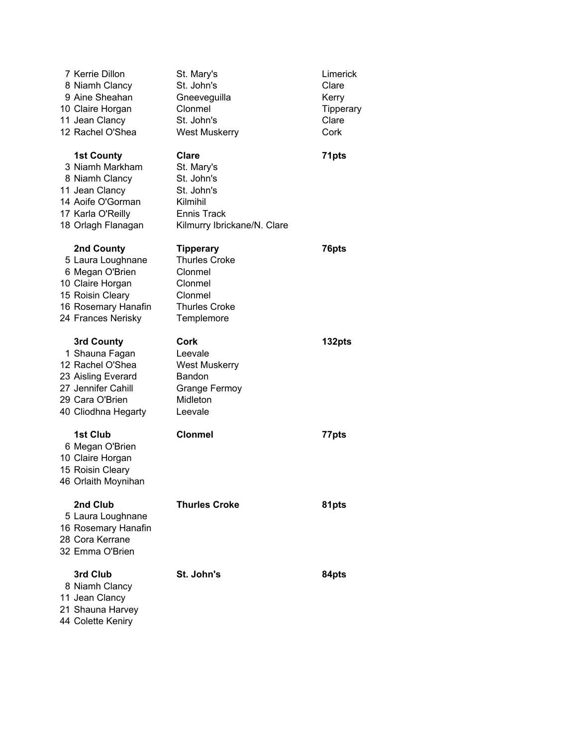| 7 Kerrie Dillon<br>8 Niamh Clancy<br>9 Aine Sheahan<br>10 Claire Horgan<br>11 Jean Clancy<br>12 Rachel O'Shea                            | St. Mary's<br>St. John's<br>Gneeveguilla<br>Clonmel<br>St. John's<br><b>West Muskerry</b>                               | Limerick<br>Clare<br>Kerry<br>Tipperary<br>Clare<br>Cork |
|------------------------------------------------------------------------------------------------------------------------------------------|-------------------------------------------------------------------------------------------------------------------------|----------------------------------------------------------|
| <b>1st County</b><br>3 Niamh Markham<br>8 Niamh Clancy<br>11 Jean Clancy<br>14 Aoife O'Gorman<br>17 Karla O'Reilly<br>18 Orlagh Flanagan | <b>Clare</b><br>St. Mary's<br>St. John's<br>St. John's<br>Kilmihil<br><b>Ennis Track</b><br>Kilmurry Ibrickane/N. Clare | 71pts                                                    |
| 2nd County<br>5 Laura Loughnane<br>6 Megan O'Brien<br>10 Claire Horgan<br>15 Roisin Cleary<br>16 Rosemary Hanafin<br>24 Frances Nerisky  | <b>Tipperary</b><br><b>Thurles Croke</b><br>Clonmel<br>Clonmel<br>Clonmel<br><b>Thurles Croke</b><br>Templemore         | 76pts                                                    |
| 3rd County<br>1 Shauna Fagan<br>12 Rachel O'Shea<br>23 Aisling Everard<br>27 Jennifer Cahill<br>29 Cara O'Brien<br>40 Cliodhna Hegarty   | Cork<br>Leevale<br><b>West Muskerry</b><br>Bandon<br><b>Grange Fermoy</b><br>Midleton<br>Leevale                        | 132pts                                                   |
| 1st Club<br>6 Megan O'Brien<br>10 Claire Horgan<br>15 Roisin Cleary<br>46 Orlaith Moynihan                                               | <b>Clonmel</b>                                                                                                          | 77pts                                                    |
| 2nd Club<br>5 Laura Loughnane<br>16 Rosemary Hanafin<br>28 Cora Kerrane<br>32 Emma O'Brien                                               | <b>Thurles Croke</b>                                                                                                    | 81pts                                                    |
| 3rd Club<br>8 Niamh Clancy<br>11 Jean Clancy<br>21 Shauna Harvey                                                                         | St. John's                                                                                                              | 84pts                                                    |

44 Colette Keniry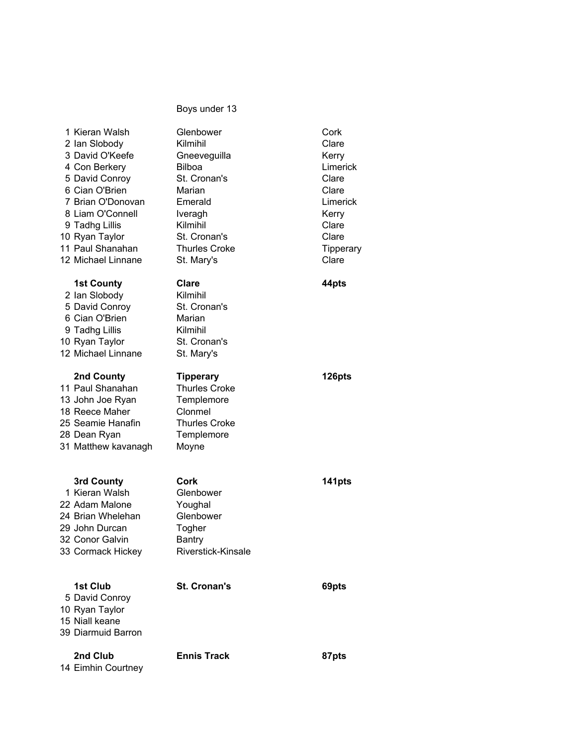| 1 Kieran Walsh<br>2 Ian Slobody<br>3 David O'Keefe<br>4 Con Berkery<br>5 David Conroy<br>6 Cian O'Brien<br>7 Brian O'Donovan<br>8 Liam O'Connell<br>9 Tadhg Lillis<br>10 Ryan Taylor<br>11 Paul Shanahan<br>12 Michael Linnane | Glenbower<br>Kilmihil<br>Gneeveguilla<br><b>Bilboa</b><br>St. Cronan's<br>Marian<br>Emerald<br>Iveragh<br>Kilmihil<br>St. Cronan's<br><b>Thurles Croke</b><br>St. Mary's | Cork<br>Clare<br>Kerry<br>Limerick<br>Clare<br>Clare<br>Limerick<br>Kerry<br>Clare<br>Clare<br>Tipperary<br>Clare |
|--------------------------------------------------------------------------------------------------------------------------------------------------------------------------------------------------------------------------------|--------------------------------------------------------------------------------------------------------------------------------------------------------------------------|-------------------------------------------------------------------------------------------------------------------|
| <b>1st County</b><br>2 Ian Slobody<br>5 David Conroy<br>6 Cian O'Brien<br>9 Tadhg Lillis<br>10 Ryan Taylor<br>12 Michael Linnane                                                                                               | Clare<br>Kilmihil<br>St. Cronan's<br>Marian<br>Kilmihil<br>St. Cronan's<br>St. Mary's                                                                                    | 44pts                                                                                                             |
| 2nd County<br>11 Paul Shanahan<br>13 John Joe Ryan<br>18 Reece Maher<br>25 Seamie Hanafin<br>28 Dean Ryan<br>31 Matthew kavanagh                                                                                               | <b>Tipperary</b><br><b>Thurles Croke</b><br>Templemore<br>Clonmel<br><b>Thurles Croke</b><br>Templemore<br>Moyne                                                         | 126pts                                                                                                            |
| 3rd County<br>1 Kieran Walsh<br>22 Adam Malone<br>24 Brian Whelehan<br>29 John Durcan<br>32 Conor Galvin<br>33 Cormack Hickey                                                                                                  | Cork<br>Glenbower<br>Youghal<br>Glenbower<br>Togher<br><b>Bantry</b><br>Riverstick-Kinsale                                                                               | 141pts                                                                                                            |
| 1st Club<br>5 David Conroy<br>10 Ryan Taylor<br>15 Niall keane<br>39 Diarmuid Barron                                                                                                                                           | <b>St. Cronan's</b>                                                                                                                                                      | 69pts                                                                                                             |
| 2nd Club<br>14 Eimhin Courtney                                                                                                                                                                                                 | <b>Ennis Track</b>                                                                                                                                                       | 87pts                                                                                                             |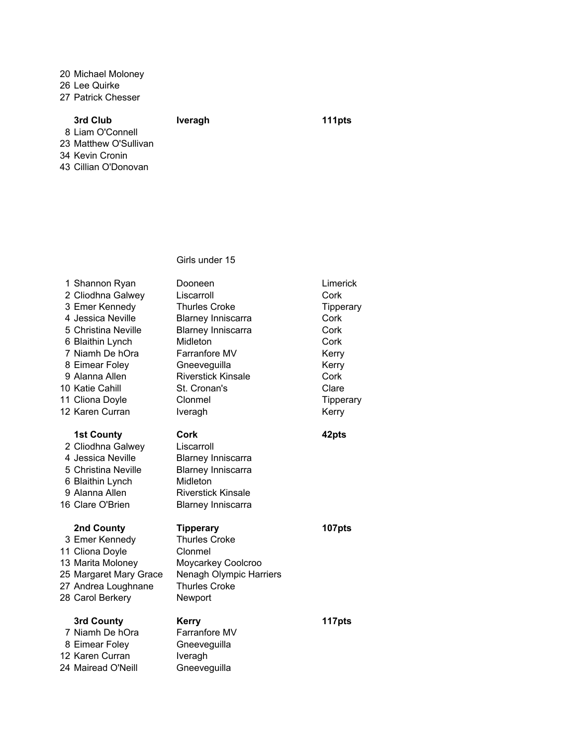20 Michael Moloney

26 Lee Quirke

27 Patrick Chesser

# 3rd Club Iveragh 111pts

8 Liam O'Connell 23 Matthew O'Sullivan

34 Kevin Cronin

43 Cillian O'Donovan

| 1 Shannon Ryan                                                                                                                               | Dooneen                                                                                                                                            | Limerick         |
|----------------------------------------------------------------------------------------------------------------------------------------------|----------------------------------------------------------------------------------------------------------------------------------------------------|------------------|
| 2 Cliodhna Galwey                                                                                                                            | Liscarroll                                                                                                                                         | Cork             |
| 3 Emer Kennedy                                                                                                                               | <b>Thurles Croke</b>                                                                                                                               | <b>Tipperary</b> |
| 4 Jessica Neville                                                                                                                            | <b>Blarney Inniscarra</b>                                                                                                                          | Cork             |
| 5 Christina Neville                                                                                                                          | <b>Blarney Inniscarra</b>                                                                                                                          | Cork             |
| 6 Blaithin Lynch                                                                                                                             | Midleton                                                                                                                                           | Cork             |
| 7 Niamh De hOra                                                                                                                              | Farranfore MV                                                                                                                                      | Kerry            |
| 8 Eimear Foley                                                                                                                               | Gneeveguilla                                                                                                                                       | Kerry            |
| 9 Alanna Allen                                                                                                                               | <b>Riverstick Kinsale</b>                                                                                                                          | Cork             |
| 10 Katie Cahill                                                                                                                              | St. Cronan's                                                                                                                                       | Clare            |
| 11 Cliona Doyle                                                                                                                              | Clonmel                                                                                                                                            | Tipperary        |
| 12 Karen Curran                                                                                                                              | Iveragh                                                                                                                                            | Kerry            |
| <b>1st County</b><br>2 Cliodhna Galwey<br>4 Jessica Neville<br>5 Christina Neville<br>6 Blaithin Lynch<br>9 Alanna Allen<br>16 Clare O'Brien | Cork<br>Liscarroll<br><b>Blarney Inniscarra</b><br><b>Blarney Inniscarra</b><br>Midleton<br><b>Riverstick Kinsale</b><br><b>Blarney Inniscarra</b> | 42pts            |
| 2nd County<br>3 Emer Kennedy<br>11 Cliona Doyle<br>13 Marita Moloney<br>25 Margaret Mary Grace<br>27 Andrea Loughnane<br>28 Carol Berkery    | <b>Tipperary</b><br><b>Thurles Croke</b><br>Clonmel<br>Moycarkey Coolcroo<br>Nenagh Olympic Harriers<br><b>Thurles Croke</b><br>Newport            | 107pts           |
| 3rd County<br>7 Niamh De hOra<br>8 Eimear Foley<br>12 Karen Curran<br>24 Mairead O'Neill                                                     | <b>Kerry</b><br>Farranfore MV<br>Gneeveguilla<br>Iveragh<br>Gneeveguilla                                                                           | 117pts           |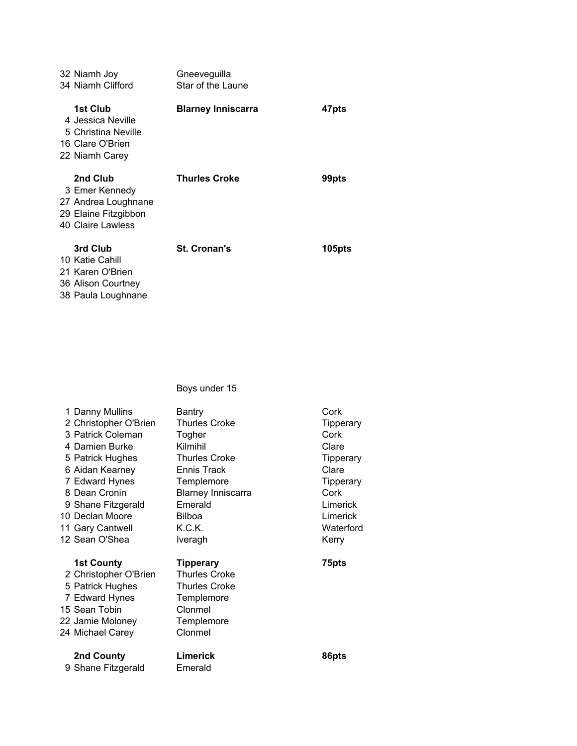| 32 Niamh Joy                                                                                   | Gneeveguilla              |        |
|------------------------------------------------------------------------------------------------|---------------------------|--------|
| 34 Niamh Clifford                                                                              | Star of the Laune         |        |
| 1st Club<br>4 Jessica Neville<br>5 Christina Neville<br>16 Clare O'Brien<br>22 Niamh Carey     | <b>Blarney Inniscarra</b> | 47pts  |
| 2nd Club<br>3 Emer Kennedy<br>27 Andrea Loughnane<br>29 Elaine Fitzgibbon<br>40 Claire Lawless | <b>Thurles Croke</b>      | 99pts  |
| 3rd Club<br>10 Katie Cahill<br>21 Karen O'Brien<br>36 Alison Courtney<br>38 Paula Loughnane    | <b>St. Cronan's</b>       | 105pts |

| 1 Danny Mullins       | <b>Bantry</b>             | Cork             |
|-----------------------|---------------------------|------------------|
| 2 Christopher O'Brien | Thurles Croke             | <b>Tipperary</b> |
| 3 Patrick Coleman     | Togher                    | Cork             |
| 4 Damien Burke        | Kilmihil                  | Clare            |
| 5 Patrick Hughes      | <b>Thurles Croke</b>      | Tipperary        |
| 6 Aidan Kearney       | Ennis Track               | Clare            |
| 7 Edward Hynes        | Templemore                | <b>Tipperary</b> |
| 8 Dean Cronin         | <b>Blarney Inniscarra</b> | Cork             |
| 9 Shane Fitzgerald    | Emerald                   | Limerick         |
| 10 Declan Moore       | <b>Bilboa</b>             | Limerick         |
| 11 Gary Cantwell      | K.C.K.                    | Waterford        |
|                       |                           |                  |
| 12 Sean O'Shea        | Iveragh                   | Kerry            |
|                       |                           |                  |
| <b>1st County</b>     | <b>Tipperary</b>          | 75pts            |
| 2 Christopher O'Brien | <b>Thurles Croke</b>      |                  |
| 5 Patrick Hughes      | <b>Thurles Croke</b>      |                  |
| 7 Edward Hynes        | Templemore                |                  |
| 15 Sean Tobin         | Clonmel                   |                  |
| 22 Jamie Moloney      | Templemore                |                  |
| 24 Michael Carey      | Clonmel                   |                  |
| 2nd County            | Limerick                  | 86pts            |
| 9 Shane Fitzgerald    | Emerald                   |                  |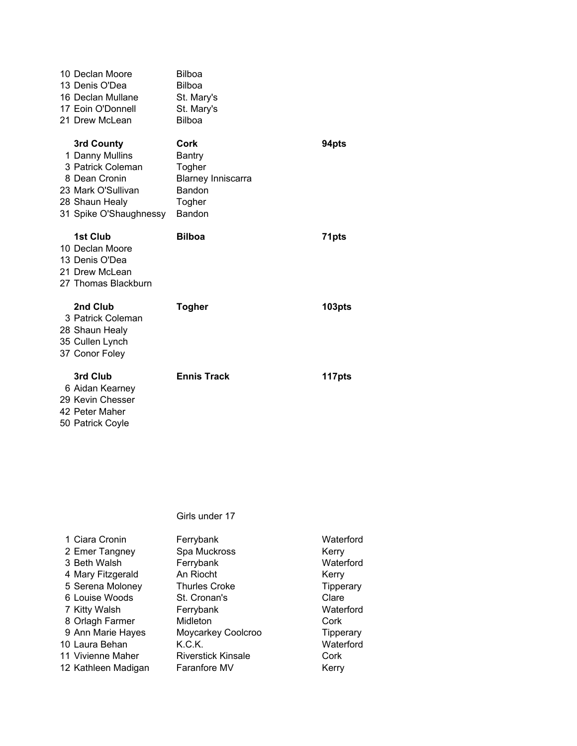| 10 Declan Moore<br>13 Denis O'Dea<br>16 Declan Mullane<br>17 Eoin O'Donnell<br>21 Drew McLean                                         | <b>Bilboa</b><br><b>Bilboa</b><br>St. Mary's<br>St. Mary's<br><b>Bilboa</b>                |        |
|---------------------------------------------------------------------------------------------------------------------------------------|--------------------------------------------------------------------------------------------|--------|
| 3rd County<br>1 Danny Mullins<br>3 Patrick Coleman<br>8 Dean Cronin<br>23 Mark O'Sullivan<br>28 Shaun Healy<br>31 Spike O'Shaughnessy | Cork<br><b>Bantry</b><br>Togher<br><b>Blarney Inniscarra</b><br>Bandon<br>Togher<br>Bandon | 94pts  |
| 1st Club<br>10 Declan Moore<br>13 Denis O'Dea<br>21 Drew McLean<br>27 Thomas Blackburn                                                | <b>Bilboa</b>                                                                              | 71pts  |
| 2nd Club<br>3 Patrick Coleman<br>28 Shaun Healy<br>35 Cullen Lynch<br>37 Conor Foley                                                  | <b>Togher</b>                                                                              | 103pts |
| 3rd Club<br>6 Aidan Kearney<br>29 Kevin Chesser<br>42 Peter Maher<br>50 Patrick Coyle                                                 | <b>Ennis Track</b>                                                                         | 117pts |

| 1 Ciara Cronin      | Ferrybank                 | Waterford        |
|---------------------|---------------------------|------------------|
| 2 Emer Tangney      | Spa Muckross              | Kerry            |
| 3 Beth Walsh        | Ferrybank                 | Waterford        |
| 4 Mary Fitzgerald   | An Riocht                 | Kerry            |
| 5 Serena Moloney    | <b>Thurles Croke</b>      | Tipperary        |
| 6 Louise Woods      | St. Cronan's              | Clare            |
| 7 Kitty Walsh       | Ferrybank                 | Waterford        |
| 8 Orlagh Farmer     | Midleton                  | Cork             |
| 9 Ann Marie Hayes   | Moycarkey Coolcroo        | <b>Tipperary</b> |
| 10 Laura Behan      | K.C.K.                    | Waterford        |
| 11 Vivienne Maher   | <b>Riverstick Kinsale</b> | Cork             |
| 12 Kathleen Madigan | <b>Faranfore MV</b>       | Kerry            |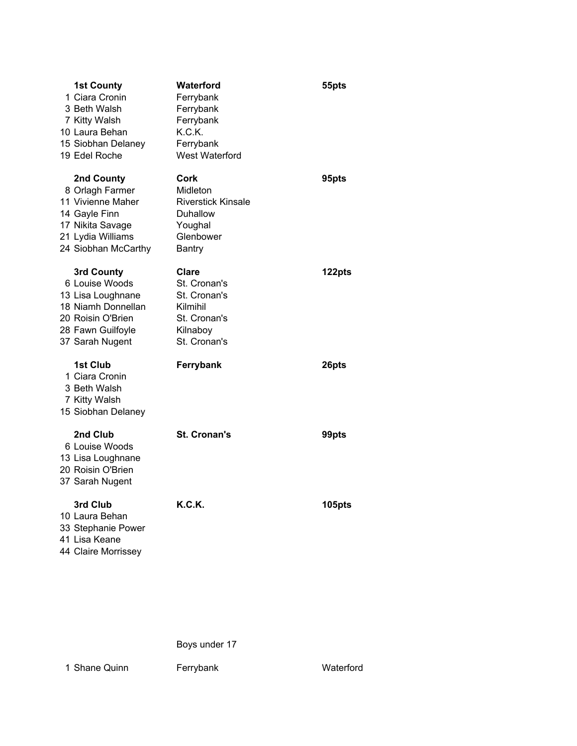| <b>1st County</b><br>1 Ciara Cronin<br>3 Beth Walsh<br>7 Kitty Walsh<br>10 Laura Behan<br>15 Siobhan Delaney<br>19 Edel Roche        | Waterford<br>Ferrybank<br>Ferrybank<br>Ferrybank<br>K.C.K.<br>Ferrybank<br><b>West Waterford</b>     | 55pts  |
|--------------------------------------------------------------------------------------------------------------------------------------|------------------------------------------------------------------------------------------------------|--------|
| 2nd County<br>8 Orlagh Farmer<br>11 Vivienne Maher<br>14 Gayle Finn<br>17 Nikita Savage<br>21 Lydia Williams<br>24 Siobhan McCarthy  | Cork<br>Midleton<br><b>Riverstick Kinsale</b><br>Duhallow<br>Youghal<br>Glenbower<br><b>Bantry</b>   | 95pts  |
| 3rd County<br>6 Louise Woods<br>13 Lisa Loughnane<br>18 Niamh Donnellan<br>20 Roisin O'Brien<br>28 Fawn Guilfoyle<br>37 Sarah Nugent | <b>Clare</b><br>St. Cronan's<br>St. Cronan's<br>Kilmihil<br>St. Cronan's<br>Kilnaboy<br>St. Cronan's | 122pts |
| 1st Club<br>1 Ciara Cronin<br>3 Beth Walsh<br>7 Kitty Walsh<br>15 Siobhan Delaney                                                    | Ferrybank                                                                                            | 26pts  |
| 2nd Club<br>6 Louise Woods<br>13 Lisa Loughnane<br>20 Roisin O'Brien<br>37 Sarah Nugent                                              | <b>St. Cronan's</b>                                                                                  | 99pts  |
| 3rd Club<br>10 Laura Behan<br>33 Stephanie Power<br>41 Lisa Keane<br>44 Claire Morrissey                                             | <b>K.C.K.</b>                                                                                        | 105pts |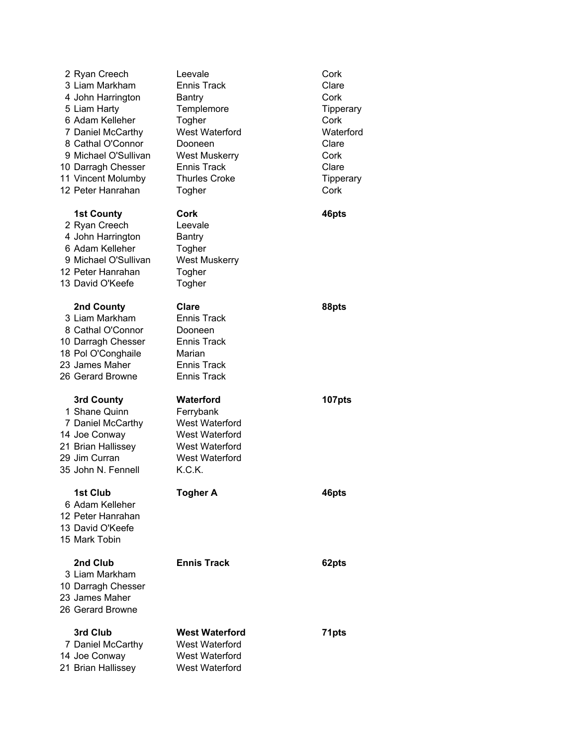| 2 Ryan Creech<br>3 Liam Markham<br>4 John Harrington<br>5 Liam Harty<br>6 Adam Kelleher<br>7 Daniel McCarthy<br>8 Cathal O'Connor<br>9 Michael O'Sullivan<br>10 Darragh Chesser<br>11 Vincent Molumby<br>12 Peter Hanrahan | Leevale<br><b>Ennis Track</b><br>Bantry<br>Templemore<br>Togher<br>West Waterford<br>Dooneen<br><b>West Muskerry</b><br><b>Ennis Track</b><br><b>Thurles Croke</b><br>Togher | Cork<br>Clare<br>Cork<br><b>Tipperary</b><br>Cork<br>Waterford<br>Clare<br>Cork<br>Clare<br><b>Tipperary</b><br>Cork |
|----------------------------------------------------------------------------------------------------------------------------------------------------------------------------------------------------------------------------|------------------------------------------------------------------------------------------------------------------------------------------------------------------------------|----------------------------------------------------------------------------------------------------------------------|
| <b>1st County</b><br>2 Ryan Creech<br>4 John Harrington<br>6 Adam Kelleher<br>9 Michael O'Sullivan<br>12 Peter Hanrahan<br>13 David O'Keefe                                                                                | Cork<br>Leevale<br><b>Bantry</b><br>Togher<br><b>West Muskerry</b><br>Togher<br>Togher                                                                                       | 46pts                                                                                                                |
| 2nd County<br>3 Liam Markham<br>8 Cathal O'Connor<br>10 Darragh Chesser<br>18 Pol O'Conghaile<br>23 James Maher<br>26 Gerard Browne                                                                                        | Clare<br><b>Ennis Track</b><br>Dooneen<br><b>Ennis Track</b><br>Marian<br><b>Ennis Track</b><br><b>Ennis Track</b>                                                           | 88pts                                                                                                                |
| 3rd County<br>1 Shane Quinn<br>7 Daniel McCarthy<br>14 Joe Conway<br>21 Brian Hallissey<br>29 Jim Curran<br>35 John N. Fennell                                                                                             | Waterford<br>Ferrybank<br>West Waterford<br>West Waterford<br><b>West Waterford</b><br>West Waterford<br>K.C.K.                                                              | 107pts                                                                                                               |
| 1st Club<br>6 Adam Kelleher<br>12 Peter Hanrahan<br>13 David O'Keefe<br>15 Mark Tobin                                                                                                                                      | <b>Togher A</b>                                                                                                                                                              | 46pts                                                                                                                |
| 2nd Club<br>3 Liam Markham<br>10 Darragh Chesser<br>23 James Maher<br>26 Gerard Browne                                                                                                                                     | <b>Ennis Track</b>                                                                                                                                                           | 62pts                                                                                                                |
| 3rd Club<br>7 Daniel McCarthy<br>14 Joe Conway<br>21 Brian Hallissey                                                                                                                                                       | <b>West Waterford</b><br><b>West Waterford</b><br><b>West Waterford</b><br>West Waterford                                                                                    | 71pts                                                                                                                |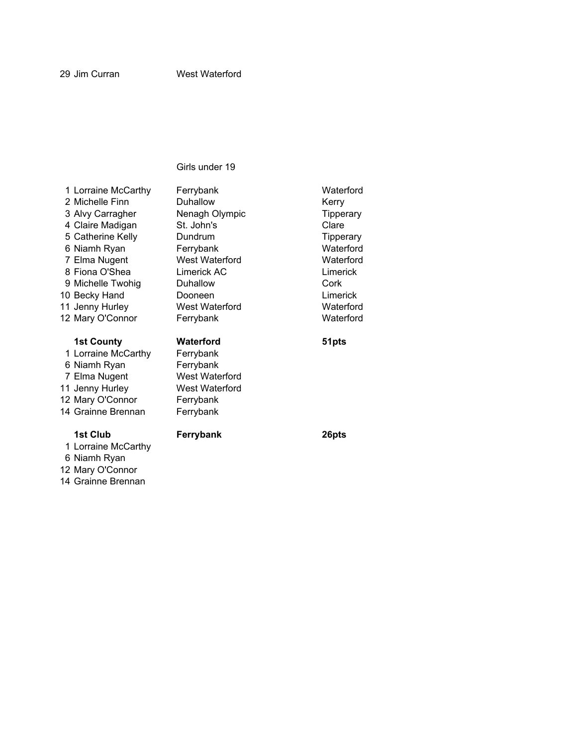12 Mary O'Connor 14 Grainne Brennan

| 1 Lorraine McCarthy                 | Ferrybank             | Waterford        |
|-------------------------------------|-----------------------|------------------|
| 2 Michelle Finn                     | Duhallow              | Kerry            |
| 3 Alvy Carragher                    | Nenagh Olympic        | <b>Tipperary</b> |
| 4 Claire Madigan                    | St. John's            | Clare            |
| 5 Catherine Kelly                   | Dundrum               | Tipperary        |
| 6 Niamh Ryan                        | Ferrybank             | Waterford        |
| 7 Elma Nugent                       | West Waterford        | Waterford        |
| 8 Fiona O'Shea                      | Limerick AC           | Limerick         |
| 9 Michelle Twohig                   | Duhallow              | Cork             |
| 10 Becky Hand                       | Dooneen               | Limerick         |
| 11 Jenny Hurley                     | West Waterford        | Waterford        |
| 12 Mary O'Connor                    | Ferrybank             | Waterford        |
|                                     |                       |                  |
|                                     |                       |                  |
| <b>1st County</b>                   | Waterford             | 51pts            |
| 1 Lorraine McCarthy                 | Ferrybank             |                  |
| 6 Niamh Ryan                        | Ferrybank             |                  |
| 7 Elma Nugent                       | <b>West Waterford</b> |                  |
| 11 Jenny Hurley                     | <b>West Waterford</b> |                  |
| 12 Mary O'Connor                    | Ferrybank             |                  |
| 14 Grainne Brennan                  | Ferrybank             |                  |
|                                     |                       |                  |
| 1st Club                            | Ferrybank             | 26pts            |
| 1 Lorraine McCarthy<br>6 Niamh Ryan |                       |                  |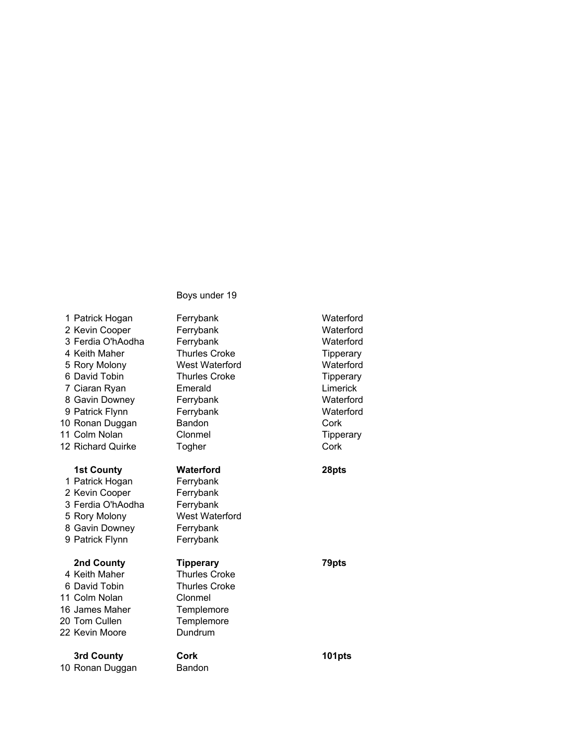| 1 Patrick Hogan<br>2 Kevin Cooper<br>3 Ferdia O'hAodha<br>4 Keith Maher<br>5 Rory Molony<br>6 David Tobin<br>7 Ciaran Ryan<br>8 Gavin Downey<br>9 Patrick Flynn<br>10 Ronan Duggan<br>11 Colm Nolan<br>12 Richard Quirke | Ferrybank<br>Ferrybank<br>Ferrybank<br><b>Thurles Croke</b><br>West Waterford<br><b>Thurles Croke</b><br>Emerald<br>Ferrybank<br>Ferrybank<br>Bandon<br>Clonmel<br>Togher | Waterford<br>Waterford<br>Waterford<br>Tipperary<br>Waterford<br>Tipperary<br>Limerick<br>Waterford<br>Waterford<br>Cork<br><b>Tipperary</b><br>Cork |
|--------------------------------------------------------------------------------------------------------------------------------------------------------------------------------------------------------------------------|---------------------------------------------------------------------------------------------------------------------------------------------------------------------------|------------------------------------------------------------------------------------------------------------------------------------------------------|
| <b>1st County</b><br>1 Patrick Hogan<br>2 Kevin Cooper<br>3 Ferdia O'hAodha<br>5 Rory Molony<br>8 Gavin Downey<br>9 Patrick Flynn                                                                                        | Waterford<br>Ferrybank<br>Ferrybank<br>Ferrybank<br>West Waterford<br>Ferrybank<br>Ferrybank                                                                              | 28pts                                                                                                                                                |
| 2nd County<br>4 Keith Maher<br>6 David Tobin<br>11 Colm Nolan<br>16 James Maher<br>20 Tom Cullen<br>22 Kevin Moore                                                                                                       | <b>Tipperary</b><br><b>Thurles Croke</b><br><b>Thurles Croke</b><br>Clonmel<br>Templemore<br>Templemore<br>Dundrum                                                        | 79pts                                                                                                                                                |
| 3rd County<br>10 Ronan Duggan                                                                                                                                                                                            | Cork<br>Bandon                                                                                                                                                            | 101pts                                                                                                                                               |